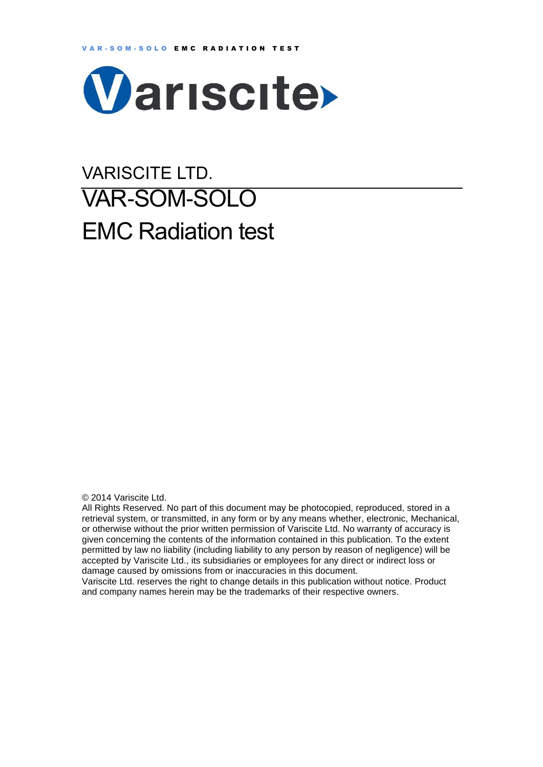

# VARISCITE LTD. VAR-SOM-SOLO EMC Radiation test

© 2014 Variscite Ltd.

All Rights Reserved. No part of this document may be photocopied, reproduced, stored in a retrieval system, or transmitted, in any form or by any means whether, electronic, Mechanical, or otherwise without the prior written permission of Variscite Ltd. No warranty of accuracy is given concerning the contents of the information contained in this publication. To the extent permitted by law no liability (including liability to any person by reason of negligence) will be accepted by Variscite Ltd., its subsidiaries or employees for any direct or indirect loss or damage caused by omissions from or inaccuracies in this document.

Variscite Ltd. reserves the right to change details in this publication without notice. Product and company names herein may be the trademarks of their respective owners.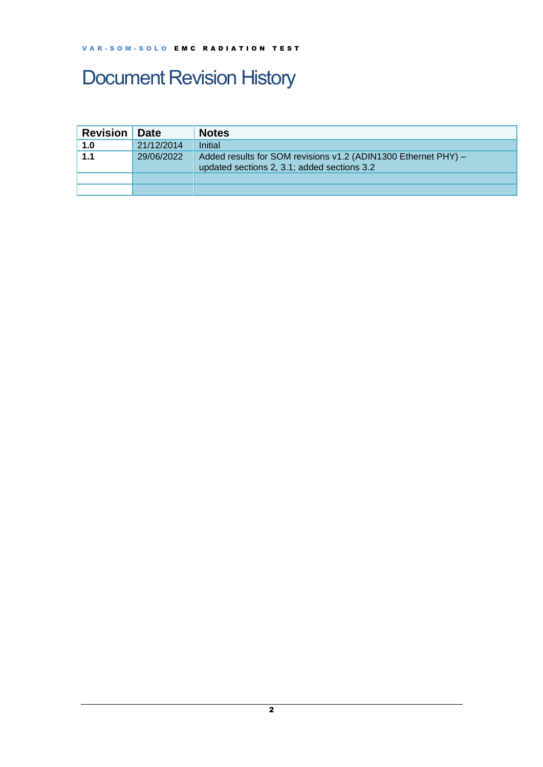## <span id="page-1-0"></span>Document Revision History

| <b>Revision</b> | <b>Date</b> | <b>Notes</b>                                                                                                  |
|-----------------|-------------|---------------------------------------------------------------------------------------------------------------|
| 1.0             | 21/12/2014  | Initial                                                                                                       |
| 1.1             | 29/06/2022  | Added results for SOM revisions v1.2 (ADIN1300 Ethernet PHY) -<br>updated sections 2, 3.1; added sections 3.2 |
|                 |             |                                                                                                               |
|                 |             |                                                                                                               |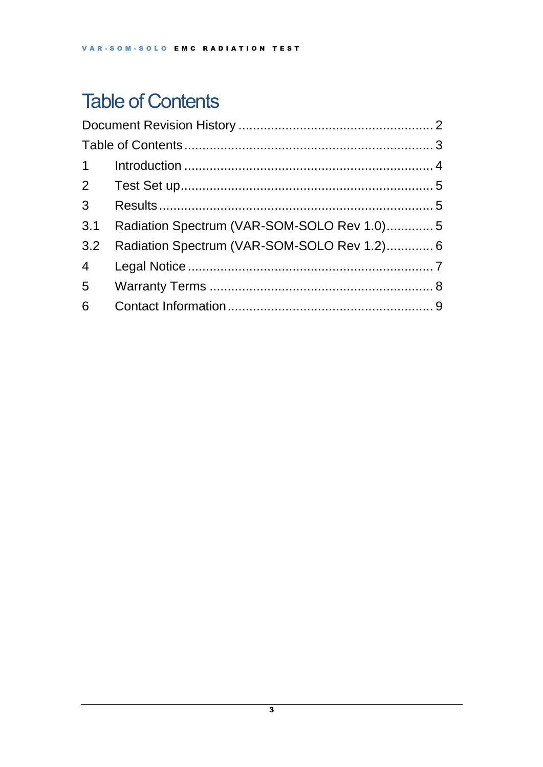## <span id="page-2-0"></span>**Table of Contents**

| 3 <sup>7</sup>  |                                             |  |
|-----------------|---------------------------------------------|--|
| 3.1             | Radiation Spectrum (VAR-SOM-SOLO Rev 1.0)5  |  |
| 3.2             | Radiation Spectrum (VAR-SOM-SOLO Rev 1.2) 6 |  |
| $4\overline{4}$ |                                             |  |
|                 |                                             |  |
| 6               |                                             |  |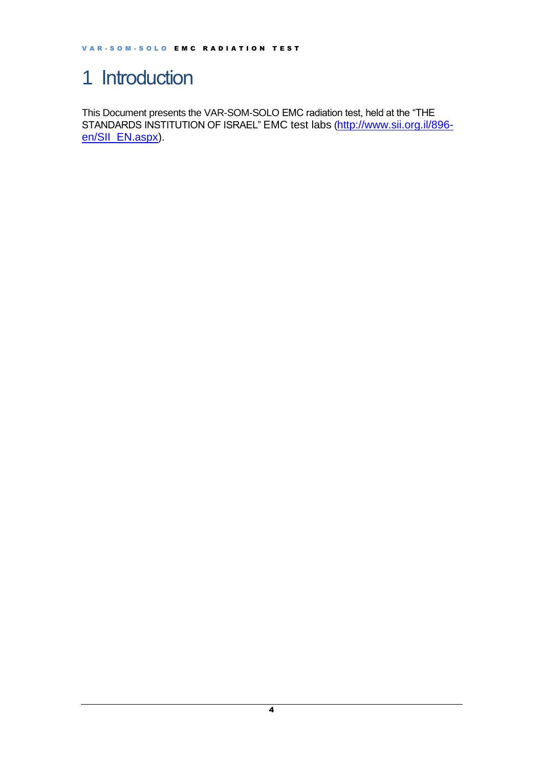### <span id="page-3-0"></span>1 Introduction

This Document presents the VAR-SOM-SOLO EMC radiation test, held at the "THE STANDARDS INSTITUTION OF ISRAEL" EMC test labs ([http://www.sii.org.il/896](http://www.sii.org.il/896-en/SII_EN.aspx) [en/SII\\_EN.aspx\)](http://www.sii.org.il/896-en/SII_EN.aspx).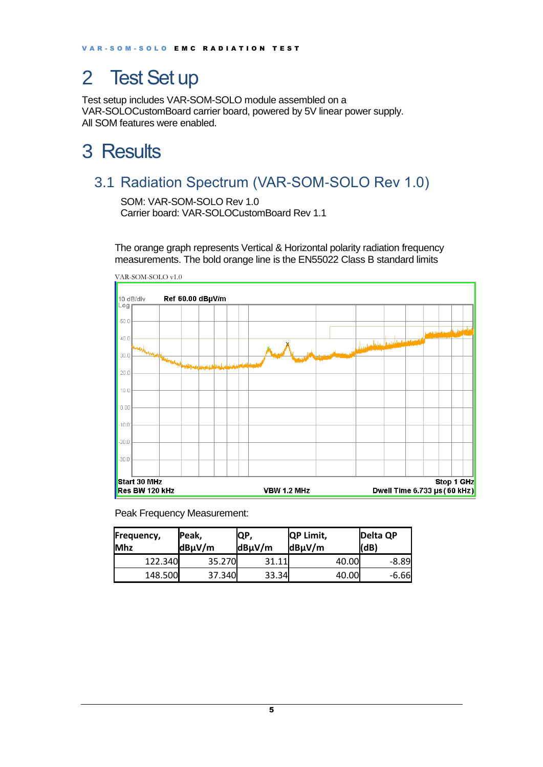### <span id="page-4-0"></span>2 Test Set up

Test setup includes VAR-SOM-SOLO module assembled on a VAR-SOLOCustomBoard carrier board, powered by 5V linear power supply. All SOM features were enabled.

### <span id="page-4-1"></span>3 Results

#### <span id="page-4-2"></span>3.1 Radiation Spectrum (VAR-SOM-SOLO Rev 1.0)

SOM: VAR-SOM-SOLO Rev 1.0 Carrier board: VAR-SOLOCustomBoard Rev 1.1

The orange graph represents Vertical & Horizontal polarity radiation frequency measurements. The bold orange line is the EN55022 Class B standard limits



Peak Frequency Measurement:

| Frequency,<br><b>Mhz</b> | Peak,<br>dBµV/m | IQP,<br>$dB\mu V/m$ | <b>QP Limit,</b><br>dBµV/m | Delta QP<br>(dB) |
|--------------------------|-----------------|---------------------|----------------------------|------------------|
| 122.340                  | 35.270          | 31.11               | 40.00                      | -8.89            |
| 148.500                  | 37.340          | 33.34               | 40.00                      | $-6.66$          |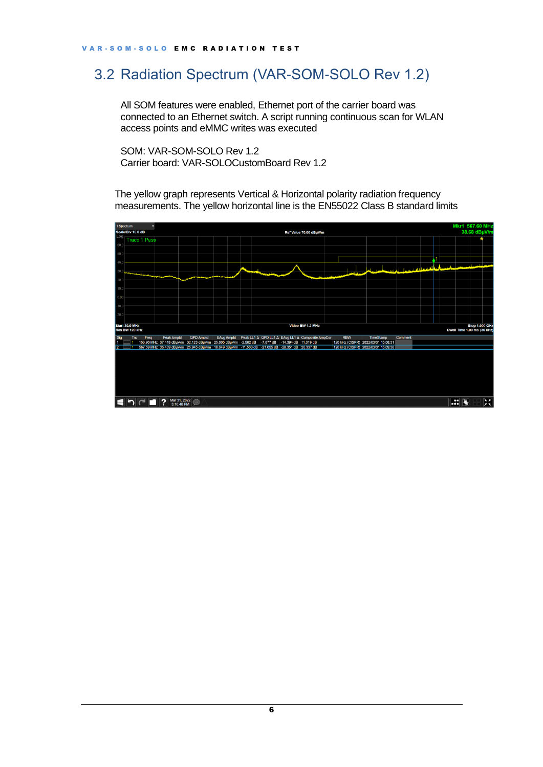#### <span id="page-5-0"></span>3.2 Radiation Spectrum (VAR-SOM-SOLO Rev 1.2)

All SOM features were enabled, Ethernet port of the carrier board was connected to an Ethernet switch. A script running continuous scan for WLAN access points and eMMC writes was executed

SOM: VAR-SOM-SOLO Rev 1.2 Carrier board: VAR-SOLOCustomBoard Rev 1.2

The yellow graph represents Vertical & Horizontal polarity radiation frequency measurements. The yellow horizontal line is the EN55022 Class B standard limits



6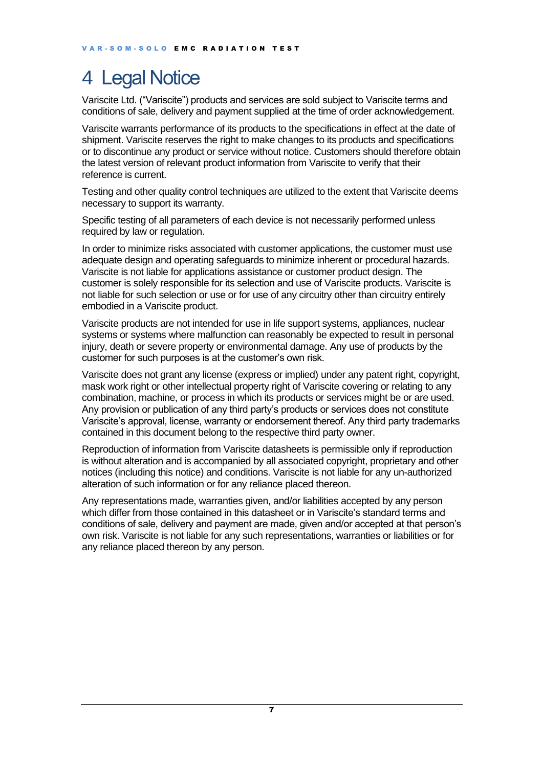## <span id="page-6-0"></span>4 Legal Notice

Variscite Ltd. ("Variscite") products and services are sold subject to Variscite terms and conditions of sale, delivery and payment supplied at the time of order acknowledgement.

Variscite warrants performance of its products to the specifications in effect at the date of shipment. Variscite reserves the right to make changes to its products and specifications or to discontinue any product or service without notice. Customers should therefore obtain the latest version of relevant product information from Variscite to verify that their reference is current.

Testing and other quality control techniques are utilized to the extent that Variscite deems necessary to support its warranty.

Specific testing of all parameters of each device is not necessarily performed unless required by law or requilation.

In order to minimize risks associated with customer applications, the customer must use adequate design and operating safeguards to minimize inherent or procedural hazards. Variscite is not liable for applications assistance or customer product design. The customer is solely responsible for its selection and use of Variscite products. Variscite is not liable for such selection or use or for use of any circuitry other than circuitry entirely embodied in a Variscite product.

Variscite products are not intended for use in life support systems, appliances, nuclear systems or systems where malfunction can reasonably be expected to result in personal injury, death or severe property or environmental damage. Any use of products by the customer for such purposes is at the customer's own risk.

Variscite does not grant any license (express or implied) under any patent right, copyright, mask work right or other intellectual property right of Variscite covering or relating to any combination, machine, or process in which its products or services might be or are used. Any provision or publication of any third party's products or services does not constitute Variscite's approval, license, warranty or endorsement thereof. Any third party trademarks contained in this document belong to the respective third party owner.

Reproduction of information from Variscite datasheets is permissible only if reproduction is without alteration and is accompanied by all associated copyright, proprietary and other notices (including this notice) and conditions. Variscite is not liable for any un-authorized alteration of such information or for any reliance placed thereon.

Any representations made, warranties given, and/or liabilities accepted by any person which differ from those contained in this datasheet or in Variscite's standard terms and conditions of sale, delivery and payment are made, given and/or accepted at that person's own risk. Variscite is not liable for any such representations, warranties or liabilities or for any reliance placed thereon by any person.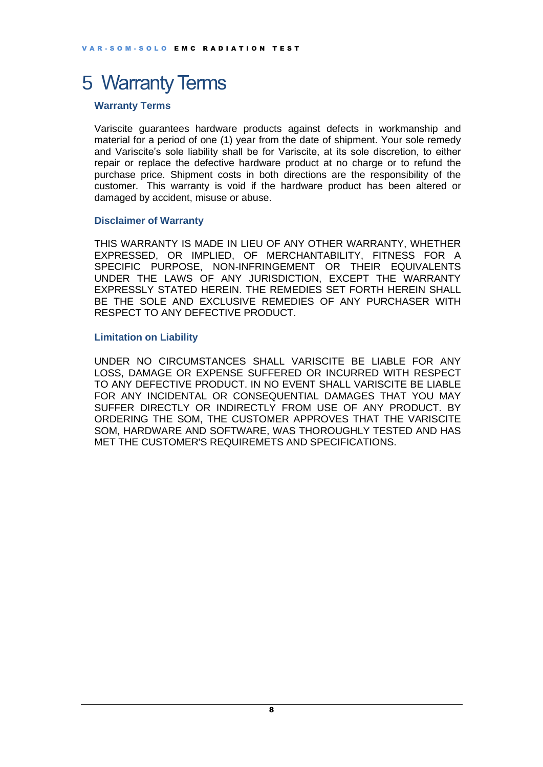#### <span id="page-7-0"></span>5 Warranty Terms

#### **Warranty Terms**

Variscite guarantees hardware products against defects in workmanship and material for a period of one (1) year from the date of shipment. Your sole remedy and Variscite's sole liability shall be for Variscite, at its sole discretion, to either repair or replace the defective hardware product at no charge or to refund the purchase price. Shipment costs in both directions are the responsibility of the customer. This warranty is void if the hardware product has been altered or damaged by accident, misuse or abuse.

#### **Disclaimer of Warranty**

THIS WARRANTY IS MADE IN LIEU OF ANY OTHER WARRANTY, WHETHER EXPRESSED, OR IMPLIED, OF MERCHANTABILITY, FITNESS FOR A SPECIFIC PURPOSE, NON-INFRINGEMENT OR THEIR EQUIVALENTS UNDER THE LAWS OF ANY JURISDICTION, EXCEPT THE WARRANTY EXPRESSLY STATED HEREIN. THE REMEDIES SET FORTH HEREIN SHALL BE THE SOLE AND EXCLUSIVE REMEDIES OF ANY PURCHASER WITH RESPECT TO ANY DEFECTIVE PRODUCT.

#### **Limitation on Liability**

UNDER NO CIRCUMSTANCES SHALL VARISCITE BE LIABLE FOR ANY LOSS, DAMAGE OR EXPENSE SUFFERED OR INCURRED WITH RESPECT TO ANY DEFECTIVE PRODUCT. IN NO EVENT SHALL VARISCITE BE LIABLE FOR ANY INCIDENTAL OR CONSEQUENTIAL DAMAGES THAT YOU MAY SUFFER DIRECTLY OR INDIRECTLY FROM USE OF ANY PRODUCT. BY ORDERING THE SOM, THE CUSTOMER APPROVES THAT THE VARISCITE SOM, HARDWARE AND SOFTWARE, WAS THOROUGHLY TESTED AND HAS MET THE CUSTOMER'S REQUIREMETS AND SPECIFICATIONS.